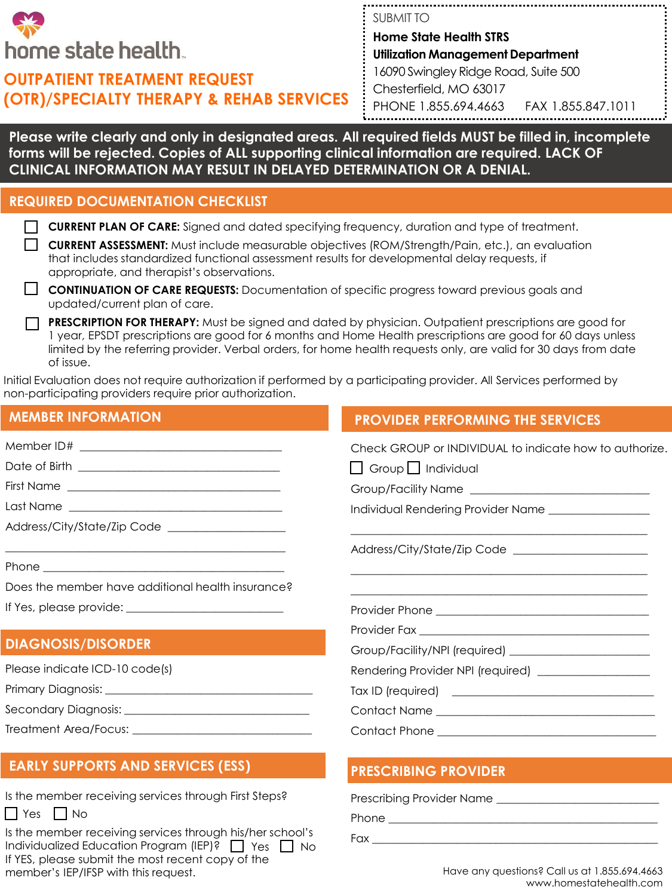

## **OUTPATIENT TREATMENT REQUEST (OTR)/SPECIALTY THERAPY & REHAB SERVICES**

SUBMIT TO **Home State Health STRS Utilization Management Department** 16090 Swingley Ridge Road, Suite 500 Chesterfield, MO 63017 PHONE 1.855.694.4663 FAX 1.855.847.1011

**Please write clearly and only in designated areas. All required fields MUST be filled in, incomplete forms will be rejected. Copies of ALL supporting clinical information are required. LACK OF CLINICAL INFORMATION MAY RESULT IN DELAYED DETERMINATION OR A DENIAL.** 

## **REQUIRED DOCUMENTATION CHECKLIST**

**CURRENT ASSESSMENT:** Must include measurable objectives (ROM/Strength/Pain, etc.), an evaluation that includes standardized functional assessment results for developmental delay requests, if appropriate, and therapist's observations.

**CONTINUATION OF CARE REQUESTS:** Documentation of specific progress toward previous goals and updated/current plan of care.

**PRESCRIPTION FOR THERAPY:** Must be signed and dated by physician. Outpatient prescriptions are good for 1 year, EPSDT prescriptions are good for 6 months and Home Health prescriptions are good for 60 days unless limited by the referring provider. Verbal orders, for home health requests only, are valid for 30 days from date of issue.

Initial Evaluation does not require authorization if performed by a participating provider. All Services performed by non-participating providers require prior authorization.

## **MEMBER INFORMATION**  Member ID# \_\_\_\_\_\_\_\_\_\_\_\_\_\_\_\_\_\_\_\_\_\_\_\_\_\_\_\_\_\_\_\_\_\_\_\_ Date of Birth \_\_\_\_\_\_\_\_\_\_\_\_\_\_\_\_\_\_\_\_\_\_\_\_\_\_\_\_\_\_\_\_\_\_\_\_ First Name Last Name \_\_\_\_\_\_\_\_\_\_\_\_\_\_\_\_\_\_\_\_\_\_\_\_\_\_\_\_\_\_\_\_\_\_\_\_\_\_ Address/City/State/Zip Code \_\_\_\_\_\_\_\_\_\_\_\_\_\_\_\_\_\_\_\_\_ \_\_\_\_\_\_\_\_\_\_\_\_\_\_\_\_\_\_\_\_\_\_\_\_\_\_\_\_\_\_\_\_\_\_\_\_\_\_\_\_\_\_\_\_\_\_\_\_\_\_ Phone  $\Box$ Does the member have additional health insurance? If Yes, please provide: Check GROUP or INDIVIDUAL to indicate how to authorize.  $\Box$  Group  $\Box$  Individual Group/Facility Name \_\_\_\_\_\_\_\_\_\_\_\_\_\_\_\_\_\_\_\_\_\_\_\_\_\_\_\_\_\_\_\_ Individual Rendering Provider Name \_\_\_\_\_\_\_\_\_\_\_\_ \_\_\_\_\_\_\_\_\_\_\_\_\_\_\_\_\_\_\_\_\_\_\_\_\_\_\_\_\_\_\_\_\_\_\_\_\_\_\_\_\_\_\_\_\_\_\_\_\_\_\_\_\_ Address/City/State/Zip Code \_\_\_\_\_\_\_\_\_\_\_\_\_\_\_\_\_\_\_\_\_\_\_\_ \_\_\_\_\_\_\_\_\_\_\_\_\_\_\_\_\_\_\_\_\_\_\_\_\_\_\_\_\_\_\_\_\_\_\_\_\_\_\_\_\_\_\_\_\_\_\_\_\_\_\_\_\_ \_\_\_\_\_\_\_\_\_\_\_\_\_\_\_\_\_\_\_\_\_\_\_\_\_\_\_\_\_\_\_\_\_\_\_\_\_\_\_\_\_\_\_\_\_\_\_\_\_\_\_\_\_ Provider Phone \_\_\_\_\_\_\_\_\_\_\_\_\_\_\_\_\_\_\_\_\_\_\_\_\_\_\_\_\_\_\_\_\_\_\_\_\_\_ Provider Fax \_\_\_\_\_\_\_\_\_\_\_\_\_\_\_\_\_\_\_\_\_\_\_\_\_\_\_\_\_\_\_\_\_\_\_\_\_\_\_\_\_ Group/Facility/NPI (required) Rendering Provider NPI (required) \_\_\_\_\_\_\_\_\_\_\_\_\_\_\_\_\_\_\_\_ Tax ID (required) \_\_\_\_\_\_\_\_\_\_\_\_\_\_\_\_\_\_\_\_\_\_\_\_\_\_\_\_\_\_\_\_\_\_\_\_ Contact Name \_\_\_\_\_\_\_\_\_\_\_\_\_\_\_\_\_\_\_\_\_\_\_\_\_\_\_\_\_\_\_\_\_\_\_\_\_\_\_ Contact Phone \_\_\_\_\_\_\_\_\_\_\_\_\_\_\_\_\_\_\_\_\_\_\_\_\_\_\_\_\_\_\_\_\_\_\_\_\_\_\_ **DIAGNOSIS/DISORDER** Please indicate ICD-10 code(s) Primary Diagnosis: \_\_\_\_\_\_\_\_\_\_\_\_\_\_\_\_\_\_\_\_\_\_\_\_\_\_\_\_\_\_\_\_\_\_\_\_\_ Secondary Diagnosis: \_\_\_\_\_\_\_\_\_\_\_\_\_\_\_\_\_\_\_\_\_\_\_\_\_\_\_\_\_\_\_\_\_ Treatment Area/Focus: \_\_\_\_\_\_\_\_\_\_\_\_\_\_\_\_\_\_\_\_\_\_\_\_\_\_\_\_\_\_\_\_ **PROVIDER PERFORMING THE SERVICES**

## **EARLY SUPPORTS AND SERVICES (ESS) PRESCRIBING PROVIDER**

| <b>Prescribing Provider Name</b> |
|----------------------------------|
| Phone                            |
| Fax                              |

Is the member receiving services through his/her school's Individualized Education Program (IEP)? Nes No If YES, please submit the most recent copy of the member's IEP/IFSP with this request.

Is the member receiving services through First Steps?

 $\Box$  Yes  $\Box$  No